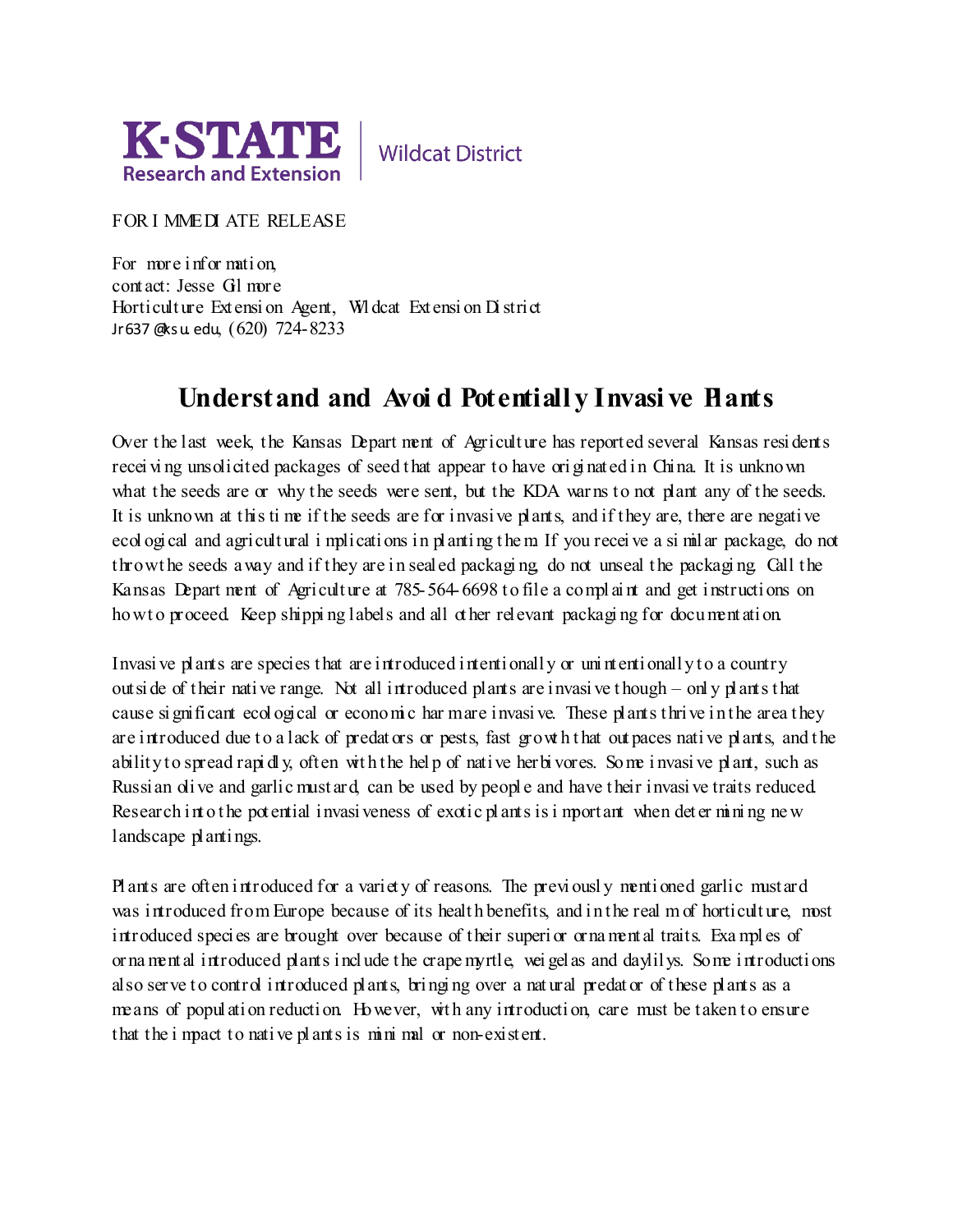

**Wildcat District** 

FOR I MMEDI ATE RELEASE

For more i nfor mati on, cont act: Jesse Gil more Horticulture Extension Agent, Wildcat Extension District Jr637 @ksu. edu, (620) 724-8233

## **Understand and Avoi d Potentiall y Invasi ve Plants**

Over the last week, the Kansas Depart ment of Agriculture has reported several Kansas residents recei vi ng unsolicited packages of seed t hat appear to have ori gi nated i n China. It is unknown what the seeds are or why the seeds were sent, but the KDA warns to not plant any of the seeds. It is unknown at this ti me if the seeds are for invasive plants, and if they are, there are negati ve ecol ogi cal and agricult ural i mplicati ons in planti ng t he m. If you recei ve a si milar package, do not throw t he seeds away and if they are in sealed packagi ng, do not unseal the packagi ng. Call the Kansas Depart ment of Agriculture at 785-564-6698 to file a complaint and get instructions on how to proceed. Keep shipping labels and all other relevant packaging for documentation.

Invasi ve plants are species that are introduced i ntenti onall y or uni ntenti onall y to a country out side of their native range. Not all introduced plants are invasive though – only plants that cause si gnificant ecological or economic har mare invasive. These plants thrive in the area they are introduced due to a lack of predators or pests, fast growth that out paces native plants, and the ability to spread rapi dl y, often wit h the hel p of native herbi vores. Some i nvasi ve plant, such as Russian oli ve and garlic must ard, can be used by peopl e and have t heir invasi ve traits reduced. Research into the potential invasiveness of exotic plants is important when determining new landscape plantings.

Plants are often introduced for a variety of reasons. The previously mentioned garlic mustard was i ntroduced from Europe because of its healt h benefits, and i n the real m of horticult ure, most introduced species are brought over because of their superi or orna ment al traits. Exa mpl es of or na ment al introduced plants incl ude t he crape myrtle, wei gelas and daylilys. Some i ntroducti ons also serve to control introduced plants, bringing over a natural predator of these plants as a means of popul ation reduction. However, with any introduction, care must be taken to ensure that the impact to native plants is minimal or non-existent.